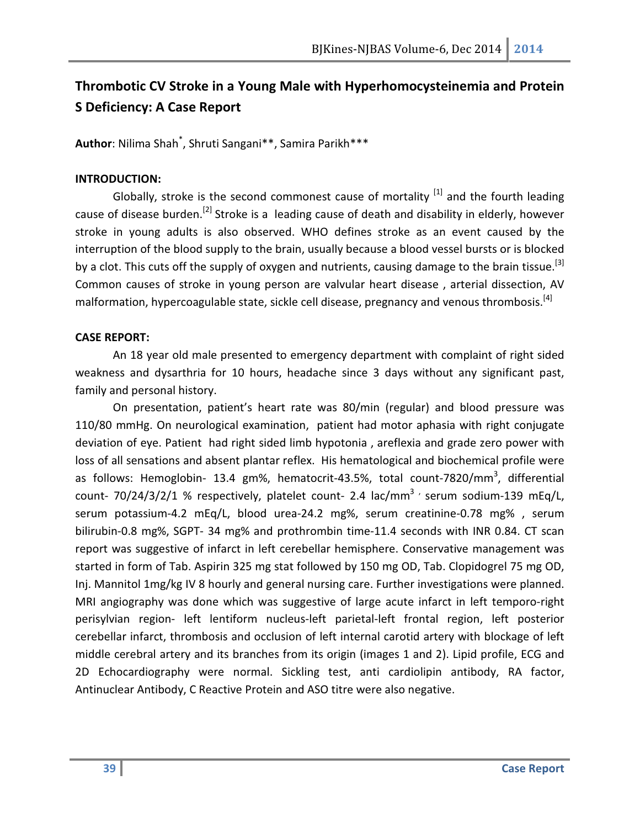# Thrombotic CV Stroke in a Young Male with Hyperhomocysteinemia and Protein S Deficiency: A Case Report

Author: Nilima Shah\* , Shruti Sangani\*\*, Samira Parikh\*\*\*

## INTRODUCTION:

Globally, stroke is the second commonest cause of mortality  $^{[1]}$  and the fourth leading cause of disease burden.<sup>[2]</sup> Stroke is a leading cause of death and disability in elderly, however stroke in young adults is also observed. WHO defines stroke as an event caused by the interruption of the blood supply to the brain, usually because a blood vessel bursts or is blocked by a clot. This cuts off the supply of oxygen and nutrients, causing damage to the brain tissue.<sup>[3]</sup> Common causes of stroke in young person are valvular heart disease , arterial dissection, AV malformation, hypercoagulable state, sickle cell disease, pregnancy and venous thrombosis.<sup>[4]</sup>

## CASE REPORT:

An 18 year old male presented to emergency department with complaint of right sided weakness and dysarthria for 10 hours, headache since 3 days without any significant past, family and personal history.

On presentation, patient's heart rate was 80/min (regular) and blood pressure was 110/80 mmHg. On neurological examination, patient had motor aphasia with right conjugate deviation of eye. Patient had right sided limb hypotonia , areflexia and grade zero power with loss of all sensations and absent plantar reflex. His hematological and biochemical profile were as follows: Hemoglobin- 13.4 gm%, hematocrit-43.5%, total count-7820/mm<sup>3</sup>, differential count- 70/24/3/2/1 % respectively, platelet count- 2.4 lac/mm<sup>3</sup> serum sodium-139 mEq/L, serum potassium-4.2 mEq/L, blood urea-24.2 mg%, serum creatinine-0.78 mg% , serum bilirubin-0.8 mg%, SGPT- 34 mg% and prothrombin time-11.4 seconds with INR 0.84. CT scan report was suggestive of infarct in left cerebellar hemisphere. Conservative management was started in form of Tab. Aspirin 325 mg stat followed by 150 mg OD, Tab. Clopidogrel 75 mg OD, Inj. Mannitol 1mg/kg IV 8 hourly and general nursing care. Further investigations were planned. MRI angiography was done which was suggestive of large acute infarct in left temporo-right perisylvian region- left lentiform nucleus-left parietal-left frontal region, left posterior cerebellar infarct, thrombosis and occlusion of left internal carotid artery with blockage of left middle cerebral artery and its branches from its origin (images 1 and 2). Lipid profile, ECG and 2D Echocardiography were normal. Sickling test, anti cardiolipin antibody, RA factor, Antinuclear Antibody, C Reactive Protein and ASO titre were also negative.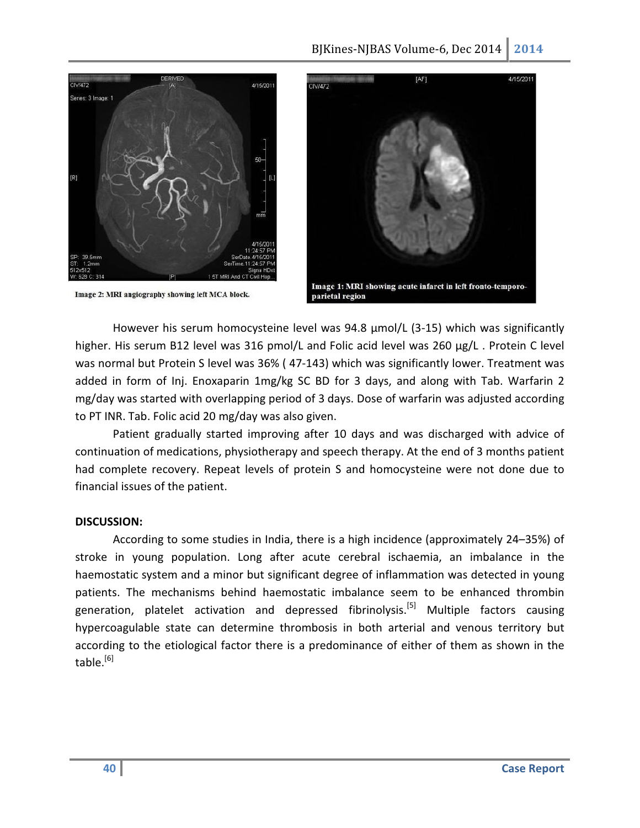

Image 2: MRI angiography showing left MCA block.



However his serum homocysteine level was 94.8 µmol/L (3-15) which was significantly higher. His serum B12 level was 316 pmol/L and Folic acid level was 260 µg/L. Protein C level was normal but Protein S level was 36% ( 47-143) which was significantly lower. Treatment was added in form of Inj. Enoxaparin 1mg/kg SC BD for 3 days, and along with Tab. Warfarin 2 mg/day was started with overlapping period of 3 days. Dose of warfarin was adjusted according to PT INR. Tab. Folic acid 20 mg/day was also given.

Patient gradually started improving after 10 days and was discharged with advice of continuation of medications, physiotherapy and speech therapy. At the end of 3 months patient had complete recovery. Repeat levels of protein S and homocysteine were not done due to financial issues of the patient.

#### DISCUSSION:

According to some studies in India, there is a high incidence (approximately 24–35%) of stroke in young population. Long after acute cerebral ischaemia, an imbalance in the haemostatic system and a minor but significant degree of inflammation was detected in young patients. The mechanisms behind haemostatic imbalance seem to be enhanced thrombin generation, platelet activation and depressed fibrinolysis.<sup>[5]</sup> Multiple factors causing hypercoagulable state can determine thrombosis in both arterial and venous territory but according to the etiological factor there is a predominance of either of them as shown in the table. $[6]$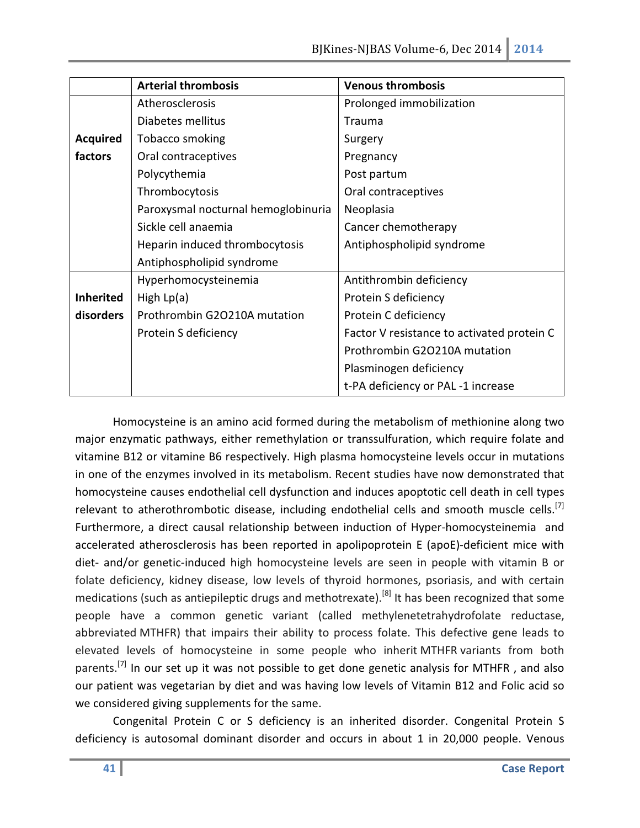|                  | <b>Arterial thrombosis</b>          | <b>Venous thrombosis</b>                   |
|------------------|-------------------------------------|--------------------------------------------|
|                  | Atherosclerosis                     | Prolonged immobilization                   |
|                  | Diabetes mellitus                   | <b>Trauma</b>                              |
| <b>Acquired</b>  | Tobacco smoking                     | Surgery                                    |
| factors          | Oral contraceptives                 | Pregnancy                                  |
|                  | Polycythemia                        | Post partum                                |
|                  | Thrombocytosis                      | Oral contraceptives                        |
|                  | Paroxysmal nocturnal hemoglobinuria | Neoplasia                                  |
|                  | Sickle cell anaemia                 | Cancer chemotherapy                        |
|                  | Heparin induced thrombocytosis      | Antiphospholipid syndrome                  |
|                  | Antiphospholipid syndrome           |                                            |
|                  | Hyperhomocysteinemia                | Antithrombin deficiency                    |
| <b>Inherited</b> | High $Lp(a)$                        | Protein S deficiency                       |
| disorders        | Prothrombin G2O210A mutation        | Protein C deficiency                       |
|                  | Protein S deficiency                | Factor V resistance to activated protein C |
|                  |                                     | Prothrombin G2O210A mutation               |
|                  |                                     | Plasminogen deficiency                     |
|                  |                                     | t-PA deficiency or PAL-1 increase          |

Homocysteine is an amino acid formed during the metabolism of methionine along two major enzymatic pathways, either remethylation or transsulfuration, which require folate and vitamine B12 or vitamine B6 respectively. High plasma homocysteine levels occur in mutations in one of the enzymes involved in its metabolism. Recent studies have now demonstrated that homocysteine causes endothelial cell dysfunction and induces apoptotic cell death in cell types relevant to atherothrombotic disease, including endothelial cells and smooth muscle cells.<sup>[7]</sup> Furthermore, a direct causal relationship between induction of Hyper-homocysteinemia and accelerated atherosclerosis has been reported in apolipoprotein E (apoE)-deficient mice with diet- and/or genetic-induced high homocysteine levels are seen in people with vitamin B or folate deficiency, kidney disease, low levels of thyroid hormones, psoriasis, and with certain medications (such as antiepileptic drugs and methotrexate).<sup>[8]</sup> It has been recognized that some people have a common genetic variant (called methylenetetrahydrofolate reductase, abbreviated MTHFR) that impairs their ability to process folate. This defective gene leads to elevated levels of homocysteine in some people who inherit MTHFR variants from both parents.<sup>[7]</sup> In our set up it was not possible to get done genetic analysis for MTHFR, and also our patient was vegetarian by diet and was having low levels of Vitamin B12 and Folic acid so we considered giving supplements for the same.

Congenital Protein C or S deficiency is an inherited disorder. Congenital Protein S deficiency is autosomal dominant disorder and occurs in about 1 in 20,000 people. Venous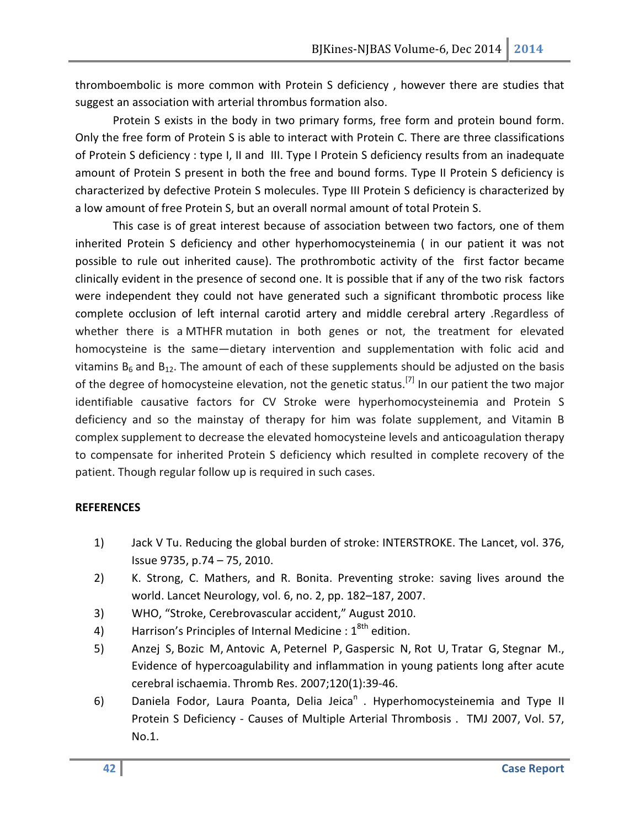thromboembolic is more common with Protein S deficiency , however there are studies that suggest an association with arterial thrombus formation also.

Protein S exists in the body in two primary forms, free form and protein bound form. Only the free form of Protein S is able to interact with Protein C. There are three classifications of Protein S deficiency : type I, II and III. Type I Protein S deficiency results from an inadequate amount of Protein S present in both the free and bound forms. Type II Protein S deficiency is characterized by defective Protein S molecules. Type III Protein S deficiency is characterized by a low amount of free Protein S, but an overall normal amount of total Protein S.

This case is of great interest because of association between two factors, one of them inherited Protein S deficiency and other hyperhomocysteinemia ( in our patient it was not possible to rule out inherited cause). The prothrombotic activity of the first factor became clinically evident in the presence of second one. It is possible that if any of the two risk factors were independent they could not have generated such a significant thrombotic process like complete occlusion of left internal carotid artery and middle cerebral artery .Regardless of whether there is a MTHFR mutation in both genes or not, the treatment for elevated homocysteine is the same—dietary intervention and supplementation with folic acid and vitamins  $B_6$  and  $B_{12}$ . The amount of each of these supplements should be adjusted on the basis of the degree of homocysteine elevation, not the genetic status.<sup>[7]</sup> In our patient the two major identifiable causative factors for CV Stroke were hyperhomocysteinemia and Protein S deficiency and so the mainstay of therapy for him was folate supplement, and Vitamin B complex supplement to decrease the elevated homocysteine levels and anticoagulation therapy to compensate for inherited Protein S deficiency which resulted in complete recovery of the patient. Though regular follow up is required in such cases.

#### REFERENCES

- 1) Jack V Tu. Reducing the global burden of stroke: INTERSTROKE. The Lancet, vol. 376, Issue 9735, p.74 – 75, 2010.
- 2) K. Strong, C. Mathers, and R. Bonita. Preventing stroke: saving lives around the world. Lancet Neurology, vol. 6, no. 2, pp. 182–187, 2007.
- 3) WHO, "Stroke, Cerebrovascular accident," August 2010.
- 4) Harrison's Principles of Internal Medicine :  $1<sup>8th</sup>$  edition.
- 5) Anzej S, Bozic M, Antovic A, Peternel P, Gaspersic N, Rot U, Tratar G, Stegnar M., Evidence of hypercoagulability and inflammation in young patients long after acute cerebral ischaemia. Thromb Res. 2007;120(1):39-46.
- 6) Daniela Fodor, Laura Poanta, Delia Jeica<sup>n</sup>. Hyperhomocysteinemia and Type II Protein S Deficiency - Causes of Multiple Arterial Thrombosis . TMJ 2007, Vol. 57, No.1.